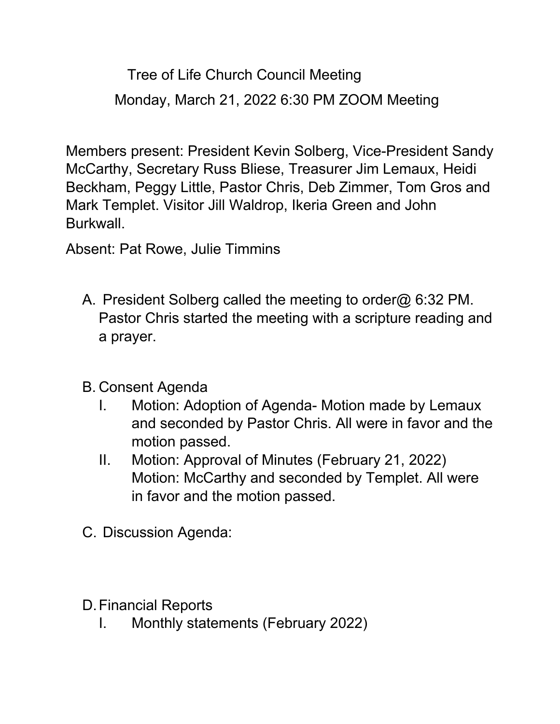Tree of Life Church Council Meeting Monday, March 21, 2022 6:30 PM ZOOM Meeting

Members present: President Kevin Solberg, Vice-President Sandy McCarthy, Secretary Russ Bliese, Treasurer Jim Lemaux, Heidi Beckham, Peggy Little, Pastor Chris, Deb Zimmer, Tom Gros and Mark Templet. Visitor Jill Waldrop, Ikeria Green and John Burkwall.

Absent: Pat Rowe, Julie Timmins

- A. President Solberg called the meeting to order@ 6:32 PM. Pastor Chris started the meeting with a scripture reading and a prayer.
- B. Consent Agenda
	- I. Motion: Adoption of Agenda- Motion made by Lemaux and seconded by Pastor Chris. All were in favor and the motion passed.
	- II. Motion: Approval of Minutes (February 21, 2022) Motion: McCarthy and seconded by Templet. All were in favor and the motion passed.
- C. Discussion Agenda:
- D.Financial Reports
	- I. Monthly statements (February 2022)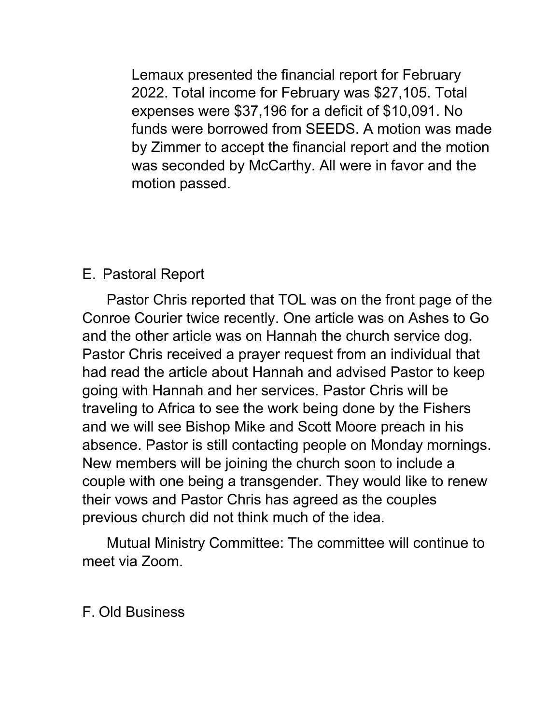Lemaux presented the financial report for February 2022. Total income for February was \$27,105. Total expenses were \$37,196 for a deficit of \$10,091. No funds were borrowed from SEEDS. A motion was made by Zimmer to accept the financial report and the motion was seconded by McCarthy. All were in favor and the motion passed.

## E. Pastoral Report

 Pastor Chris reported that TOL was on the front page of the Conroe Courier twice recently. One article was on Ashes to Go and the other article was on Hannah the church service dog. Pastor Chris received a prayer request from an individual that had read the article about Hannah and advised Pastor to keep going with Hannah and her services. Pastor Chris will be traveling to Africa to see the work being done by the Fishers and we will see Bishop Mike and Scott Moore preach in his absence. Pastor is still contacting people on Monday mornings. New members will be joining the church soon to include a couple with one being a transgender. They would like to renew their vows and Pastor Chris has agreed as the couples previous church did not think much of the idea.

 Mutual Ministry Committee: The committee will continue to meet via Zoom.

F. Old Business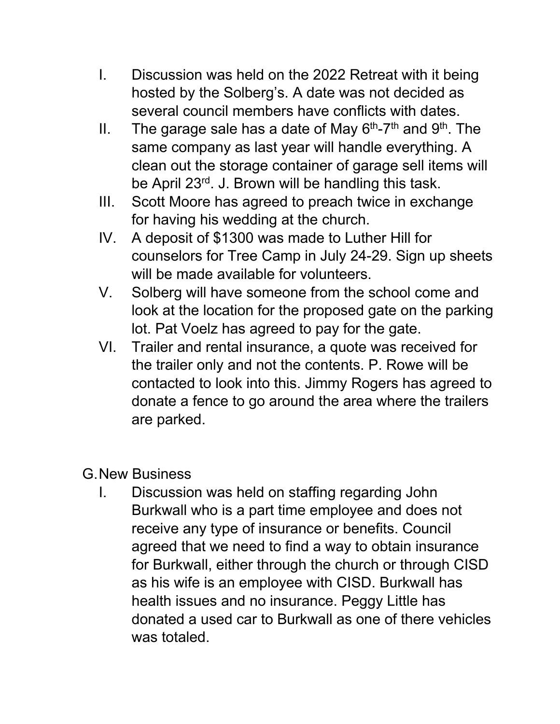- I. Discussion was held on the 2022 Retreat with it being hosted by the Solberg's. A date was not decided as several council members have conflicts with dates.
- II. The garage sale has a date of May  $6<sup>th</sup>$ -7<sup>th</sup> and  $9<sup>th</sup>$ . The same company as last year will handle everything. A clean out the storage container of garage sell items will be April 23rd. J. Brown will be handling this task.
- III. Scott Moore has agreed to preach twice in exchange for having his wedding at the church.
- IV. A deposit of \$1300 was made to Luther Hill for counselors for Tree Camp in July 24-29. Sign up sheets will be made available for volunteers.
- V. Solberg will have someone from the school come and look at the location for the proposed gate on the parking lot. Pat Voelz has agreed to pay for the gate.
- VI. Trailer and rental insurance, a quote was received for the trailer only and not the contents. P. Rowe will be contacted to look into this. Jimmy Rogers has agreed to donate a fence to go around the area where the trailers are parked.

## G.New Business

I. Discussion was held on staffing regarding John Burkwall who is a part time employee and does not receive any type of insurance or benefits. Council agreed that we need to find a way to obtain insurance for Burkwall, either through the church or through CISD as his wife is an employee with CISD. Burkwall has health issues and no insurance. Peggy Little has donated a used car to Burkwall as one of there vehicles was totaled.